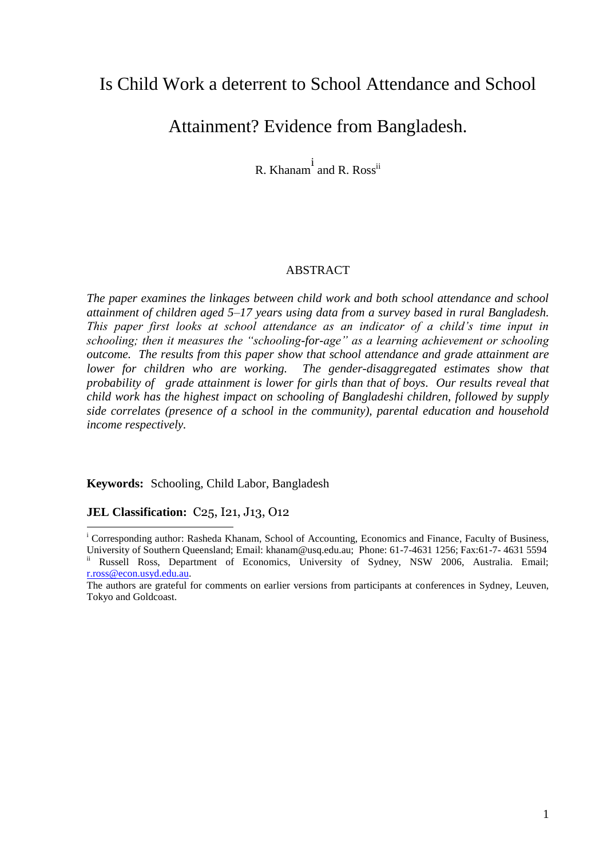# Is Child Work a deterrent to School Attendance and School

# Attainment? Evidence from Bangladesh.

R. Khanam<sup>i</sup> and R. Ross<sup>ii</sup>

## ABSTRACT

*The paper examines the linkages between child work and both school attendance and school attainment of children aged 5–17 years using data from a survey based in rural Bangladesh. This paper first looks at school attendance as an indicator of a child's time input in schooling; then it measures the "schooling-for-age" as a learning achievement or schooling outcome. The results from this paper show that school attendance and grade attainment are lower for children who are working. The gender-disaggregated estimates show that probability of grade attainment is lower for girls than that of boys. Our results reveal that child work has the highest impact on schooling of Bangladeshi children, followed by supply side correlates (presence of a school in the community), parental education and household income respectively.*

**Keywords:** Schooling, Child Labor, Bangladesh

#### **JEL Classification: C<sub>25</sub>, I<sub>21</sub>, J<sub>13</sub>, O<sub>12</sub>**

<sup>-</sup><sup>i</sup> Corresponding author: Rasheda Khanam, School of Accounting, Economics and Finance, Faculty of Business,

University of Southern Queensland; Email: khanam@usq.edu.au; Phone: 61-7-4631 1256; Fax:61-7- 4631 5594 Russell Ross, Department of Economics, University of Sydney, NSW 2006, Australia. Email; [r.ross@econ.usyd.edu.au.](mailto:r.ross@econ.usyd.edu.au) 

The authors are grateful for comments on earlier versions from participants at conferences in Sydney, Leuven, Tokyo and Goldcoast.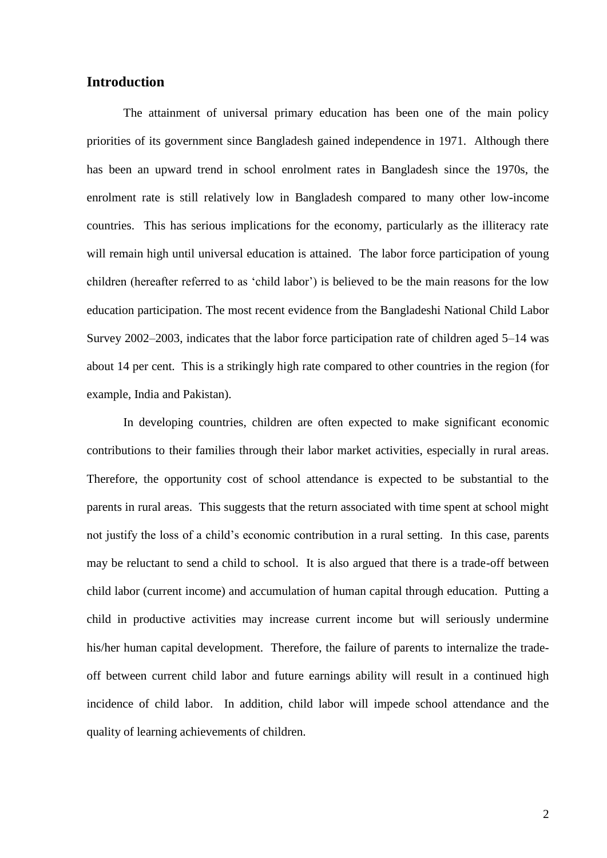# **Introduction**

The attainment of universal primary education has been one of the main policy priorities of its government since Bangladesh gained independence in 1971. Although there has been an upward trend in school enrolment rates in Bangladesh since the 1970s, the enrolment rate is still relatively low in Bangladesh compared to many other low-income countries. This has serious implications for the economy, particularly as the illiteracy rate will remain high until universal education is attained. The labor force participation of young children (hereafter referred to as "child labor") is believed to be the main reasons for the low education participation. The most recent evidence from the Bangladeshi National Child Labor Survey 2002–2003, indicates that the labor force participation rate of children aged 5–14 was about 14 per cent. This is a strikingly high rate compared to other countries in the region (for example, India and Pakistan).

In developing countries, children are often expected to make significant economic contributions to their families through their labor market activities, especially in rural areas. Therefore, the opportunity cost of school attendance is expected to be substantial to the parents in rural areas. This suggests that the return associated with time spent at school might not justify the loss of a child"s economic contribution in a rural setting. In this case, parents may be reluctant to send a child to school. It is also argued that there is a trade-off between child labor (current income) and accumulation of human capital through education. Putting a child in productive activities may increase current income but will seriously undermine his/her human capital development. Therefore, the failure of parents to internalize the tradeoff between current child labor and future earnings ability will result in a continued high incidence of child labor. In addition, child labor will impede school attendance and the quality of learning achievements of children.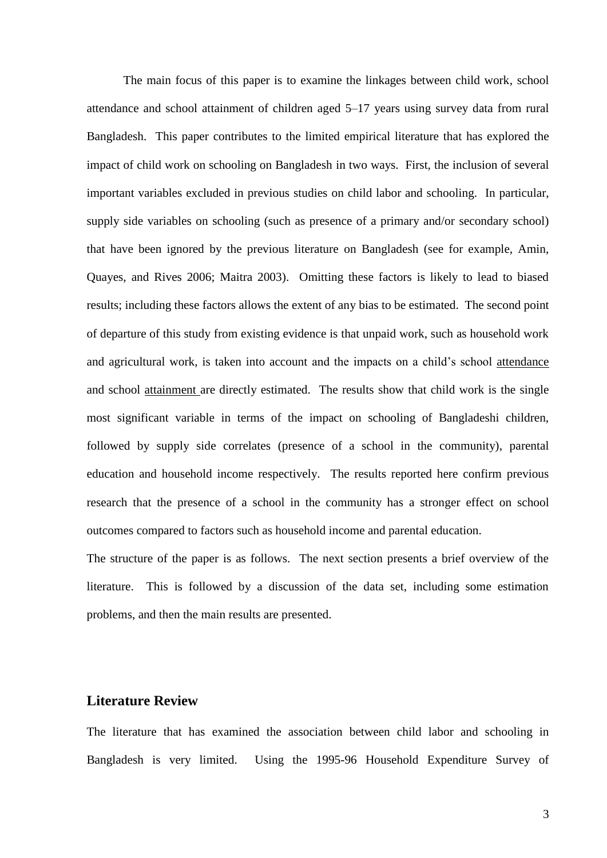The main focus of this paper is to examine the linkages between child work, school attendance and school attainment of children aged 5–17 years using survey data from rural Bangladesh. This paper contributes to the limited empirical literature that has explored the impact of child work on schooling on Bangladesh in two ways. First, the inclusion of several important variables excluded in previous studies on child labor and schooling. In particular, supply side variables on schooling (such as presence of a primary and/or secondary school) that have been ignored by the previous literature on Bangladesh (see for example, Amin, Quayes, and Rives 2006; Maitra 2003). Omitting these factors is likely to lead to biased results; including these factors allows the extent of any bias to be estimated. The second point of departure of this study from existing evidence is that unpaid work, such as household work and agricultural work, is taken into account and the impacts on a child's school attendance and school attainment are directly estimated. The results show that child work is the single most significant variable in terms of the impact on schooling of Bangladeshi children, followed by supply side correlates (presence of a school in the community), parental education and household income respectively. The results reported here confirm previous research that the presence of a school in the community has a stronger effect on school outcomes compared to factors such as household income and parental education.

The structure of the paper is as follows. The next section presents a brief overview of the literature. This is followed by a discussion of the data set, including some estimation problems, and then the main results are presented.

## **Literature Review**

The literature that has examined the association between child labor and schooling in Bangladesh is very limited. Using the 1995-96 Household Expenditure Survey of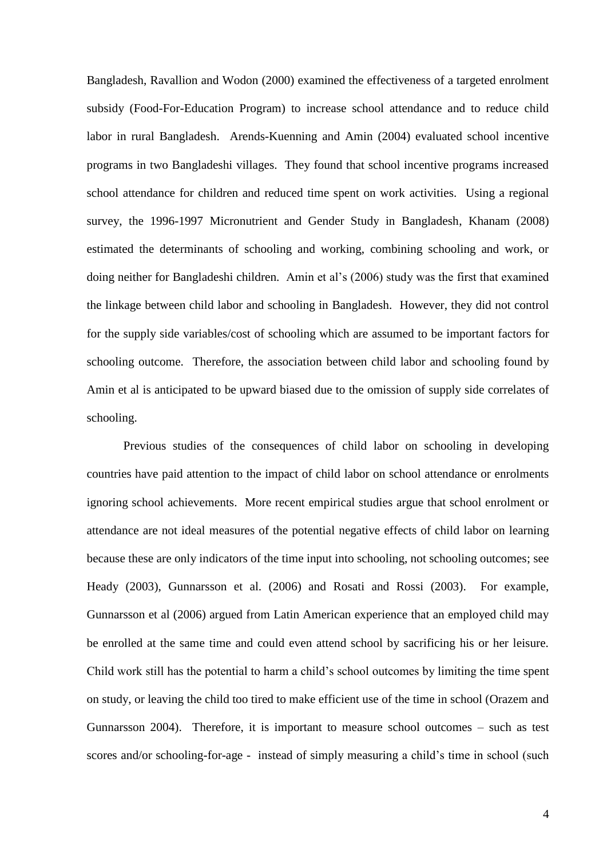Bangladesh, Ravallion and Wodon (2000) examined the effectiveness of a targeted enrolment subsidy (Food-For-Education Program) to increase school attendance and to reduce child labor in rural Bangladesh. Arends-Kuenning and Amin (2004) evaluated school incentive programs in two Bangladeshi villages. They found that school incentive programs increased school attendance for children and reduced time spent on work activities. Using a regional survey, the 1996-1997 Micronutrient and Gender Study in Bangladesh, Khanam (2008) estimated the determinants of schooling and working, combining schooling and work, or doing neither for Bangladeshi children. Amin et al's (2006) study was the first that examined the linkage between child labor and schooling in Bangladesh. However, they did not control for the supply side variables/cost of schooling which are assumed to be important factors for schooling outcome. Therefore, the association between child labor and schooling found by Amin et al is anticipated to be upward biased due to the omission of supply side correlates of schooling.

Previous studies of the consequences of child labor on schooling in developing countries have paid attention to the impact of child labor on school attendance or enrolments ignoring school achievements. More recent empirical studies argue that school enrolment or attendance are not ideal measures of the potential negative effects of child labor on learning because these are only indicators of the time input into schooling, not schooling outcomes; see Heady (2003), Gunnarsson et al. (2006) and Rosati and Rossi (2003). For example, Gunnarsson et al (2006) argued from Latin American experience that an employed child may be enrolled at the same time and could even attend school by sacrificing his or her leisure. Child work still has the potential to harm a child"s school outcomes by limiting the time spent on study, or leaving the child too tired to make efficient use of the time in school (Orazem and Gunnarsson 2004). Therefore, it is important to measure school outcomes – such as test scores and/or schooling-for-age - instead of simply measuring a child's time in school (such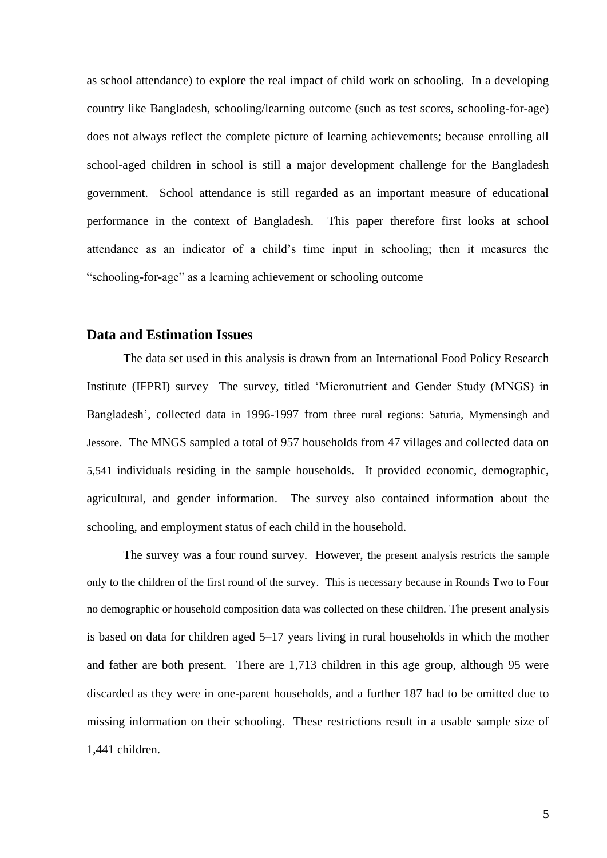as school attendance) to explore the real impact of child work on schooling. In a developing country like Bangladesh, schooling/learning outcome (such as test scores, schooling-for-age) does not always reflect the complete picture of learning achievements; because enrolling all school-aged children in school is still a major development challenge for the Bangladesh government. School attendance is still regarded as an important measure of educational performance in the context of Bangladesh. This paper therefore first looks at school attendance as an indicator of a child"s time input in schooling; then it measures the "schooling-for-age" as a learning achievement or schooling outcome

### **Data and Estimation Issues**

The data set used in this analysis is drawn from an International Food Policy Research Institute (IFPRI) survey The survey, titled "Micronutrient and Gender Study (MNGS) in Bangladesh', collected data in 1996-1997 from three rural regions: Saturia, Mymensingh and Jessore. The MNGS sampled a total of 957 households from 47 villages and collected data on 5,541 individuals residing in the sample households. It provided economic, demographic, agricultural, and gender information. The survey also contained information about the schooling, and employment status of each child in the household.

The survey was a four round survey. However, the present analysis restricts the sample only to the children of the first round of the survey. This is necessary because in Rounds Two to Four no demographic or household composition data was collected on these children. The present analysis is based on data for children aged 5–17 years living in rural households in which the mother and father are both present. There are 1,713 children in this age group, although 95 were discarded as they were in one-parent households, and a further 187 had to be omitted due to missing information on their schooling. These restrictions result in a usable sample size of 1,441 children.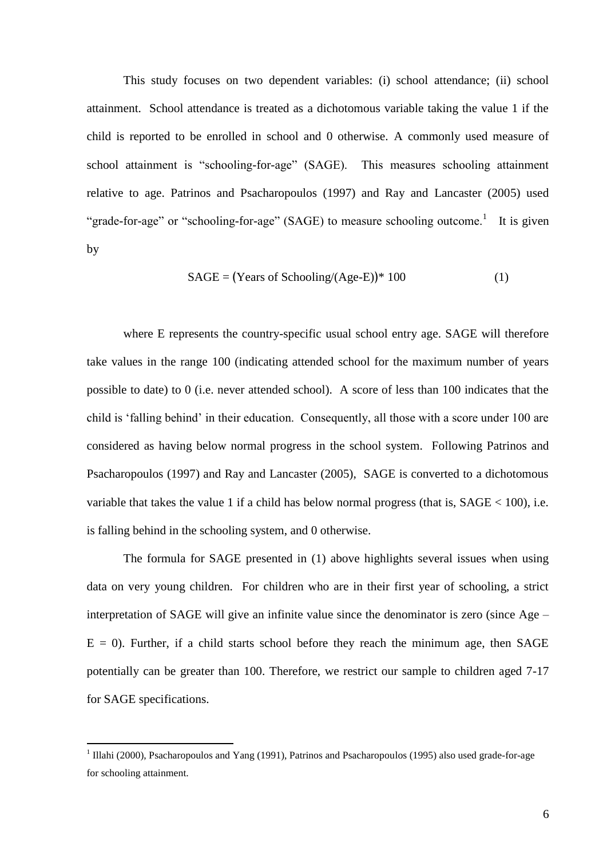This study focuses on two dependent variables: (i) school attendance; (ii) school attainment. School attendance is treated as a dichotomous variable taking the value 1 if the child is reported to be enrolled in school and 0 otherwise. A commonly used measure of school attainment is "schooling-for-age" (SAGE). This measures schooling attainment relative to age. Patrinos and Psacharopoulos (1997) and Ray and Lancaster (2005) used "grade-for-age" or "schooling-for-age" (SAGE) to measure schooling outcome.<sup>1</sup> It is given by

$$
SAGE = (Years of Schooling/(Age-E))^* 100
$$
 (1)

where E represents the country-specific usual school entry age. SAGE will therefore take values in the range 100 (indicating attended school for the maximum number of years possible to date) to 0 (i.e. never attended school). A score of less than 100 indicates that the child is "falling behind" in their education. Consequently, all those with a score under 100 are considered as having below normal progress in the school system. Following Patrinos and Psacharopoulos (1997) and Ray and Lancaster (2005), SAGE is converted to a dichotomous variable that takes the value 1 if a child has below normal progress (that is,  $SAGE < 100$ ), i.e. is falling behind in the schooling system, and 0 otherwise.

The formula for SAGE presented in (1) above highlights several issues when using data on very young children. For children who are in their first year of schooling, a strict interpretation of SAGE will give an infinite value since the denominator is zero (since Age –  $E = 0$ ). Further, if a child starts school before they reach the minimum age, then SAGE potentially can be greater than 100. Therefore, we restrict our sample to children aged 7-17 for SAGE specifications.

1

<sup>&</sup>lt;sup>1</sup> Illahi (2000), Psacharopoulos and Yang (1991), Patrinos and Psacharopoulos (1995) also used grade-for-age for schooling attainment.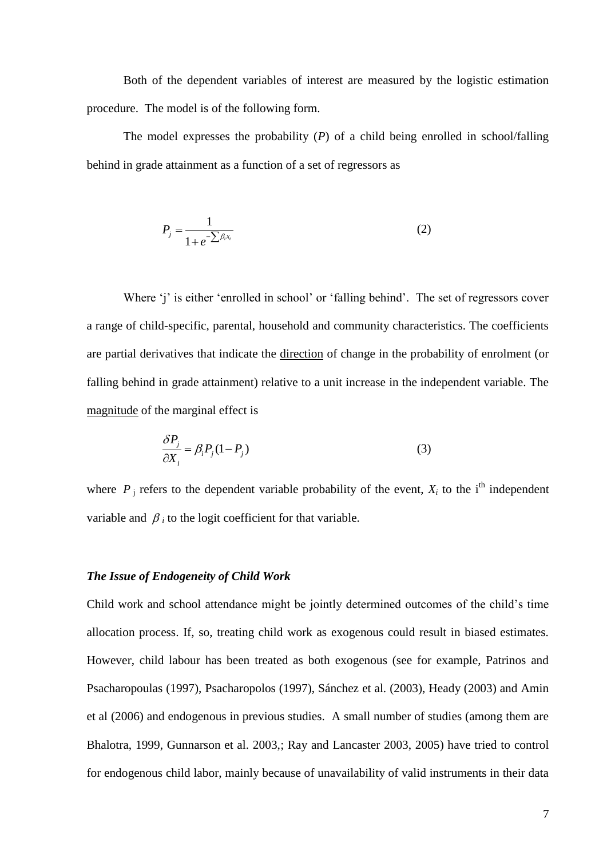Both of the dependent variables of interest are measured by the logistic estimation procedure. The model is of the following form.

The model expresses the probability (*P*) of a child being enrolled in school/falling behind in grade attainment as a function of a set of regressors as

$$
P_j = \frac{1}{1 + e^{-\sum \beta_i x_i}}\tag{2}
$$

Where 'j' is either 'enrolled in school' or 'falling behind'. The set of regressors cover a range of child-specific, parental, household and community characteristics. The coefficients are partial derivatives that indicate the direction of change in the probability of enrolment (or falling behind in grade attainment) relative to a unit increase in the independent variable. The magnitude of the marginal effect is

$$
\frac{\delta P_j}{\partial X_i} = \beta_i P_j (1 - P_j)
$$
\n(3)

where  $P_j$  refers to the dependent variable probability of the event,  $X_i$  to the i<sup>th</sup> independent variable and  $\beta_i$  to the logit coefficient for that variable.

## *The Issue of Endogeneity of Child Work*

Child work and school attendance might be jointly determined outcomes of the child"s time allocation process. If, so, treating child work as exogenous could result in biased estimates. However, child labour has been treated as both exogenous (see for example, Patrinos and Psacharopoulas (1997), Psacharopolos (1997), Sánchez et al. (2003), Heady (2003) and Amin et al (2006) and endogenous in previous studies. A small number of studies (among them are Bhalotra, 1999, Gunnarson et al. 2003,; Ray and Lancaster 2003, 2005) have tried to control for endogenous child labor, mainly because of unavailability of valid instruments in their data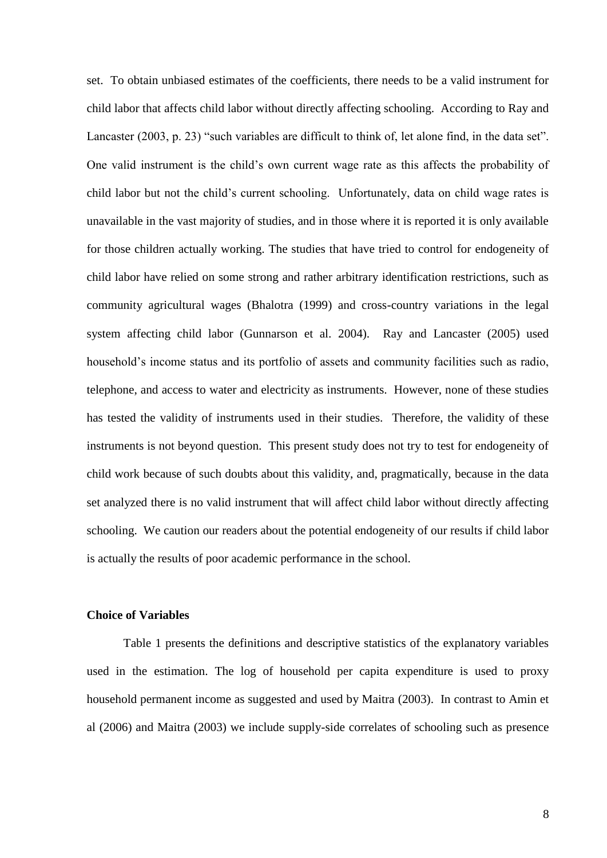set. To obtain unbiased estimates of the coefficients, there needs to be a valid instrument for child labor that affects child labor without directly affecting schooling. According to Ray and Lancaster (2003, p. 23) "such variables are difficult to think of, let alone find, in the data set". One valid instrument is the child"s own current wage rate as this affects the probability of child labor but not the child"s current schooling. Unfortunately, data on child wage rates is unavailable in the vast majority of studies, and in those where it is reported it is only available for those children actually working. The studies that have tried to control for endogeneity of child labor have relied on some strong and rather arbitrary identification restrictions, such as community agricultural wages (Bhalotra (1999) and cross-country variations in the legal system affecting child labor (Gunnarson et al. 2004). Ray and Lancaster (2005) used household"s income status and its portfolio of assets and community facilities such as radio, telephone, and access to water and electricity as instruments. However, none of these studies has tested the validity of instruments used in their studies. Therefore, the validity of these instruments is not beyond question. This present study does not try to test for endogeneity of child work because of such doubts about this validity, and, pragmatically, because in the data set analyzed there is no valid instrument that will affect child labor without directly affecting schooling. We caution our readers about the potential endogeneity of our results if child labor is actually the results of poor academic performance in the school.

#### **Choice of Variables**

Table 1 presents the definitions and descriptive statistics of the explanatory variables used in the estimation. The log of household per capita expenditure is used to proxy household permanent income as suggested and used by Maitra (2003). In contrast to Amin et al (2006) and Maitra (2003) we include supply-side correlates of schooling such as presence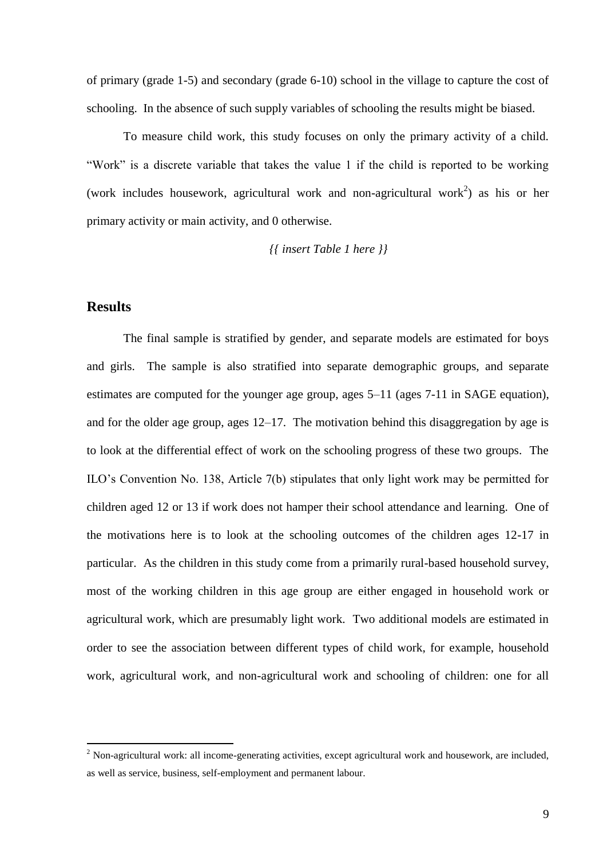of primary (grade 1-5) and secondary (grade 6-10) school in the village to capture the cost of schooling. In the absence of such supply variables of schooling the results might be biased.

To measure child work, this study focuses on only the primary activity of a child. "Work" is a discrete variable that takes the value 1 if the child is reported to be working (work includes housework, agricultural work and non-agricultural work<sup>2</sup>) as his or her primary activity or main activity, and 0 otherwise.

*{{ insert Table 1 here }}*

## **Results**

1

The final sample is stratified by gender, and separate models are estimated for boys and girls. The sample is also stratified into separate demographic groups, and separate estimates are computed for the younger age group, ages 5–11 (ages 7-11 in SAGE equation), and for the older age group, ages 12–17. The motivation behind this disaggregation by age is to look at the differential effect of work on the schooling progress of these two groups. The ILO"s Convention No. 138, Article 7(b) stipulates that only light work may be permitted for children aged 12 or 13 if work does not hamper their school attendance and learning. One of the motivations here is to look at the schooling outcomes of the children ages 12-17 in particular. As the children in this study come from a primarily rural-based household survey, most of the working children in this age group are either engaged in household work or agricultural work, which are presumably light work. Two additional models are estimated in order to see the association between different types of child work, for example, household work, agricultural work, and non-agricultural work and schooling of children: one for all

<sup>2</sup> Non-agricultural work: all income-generating activities, except agricultural work and housework, are included, as well as service, business, self-employment and permanent labour.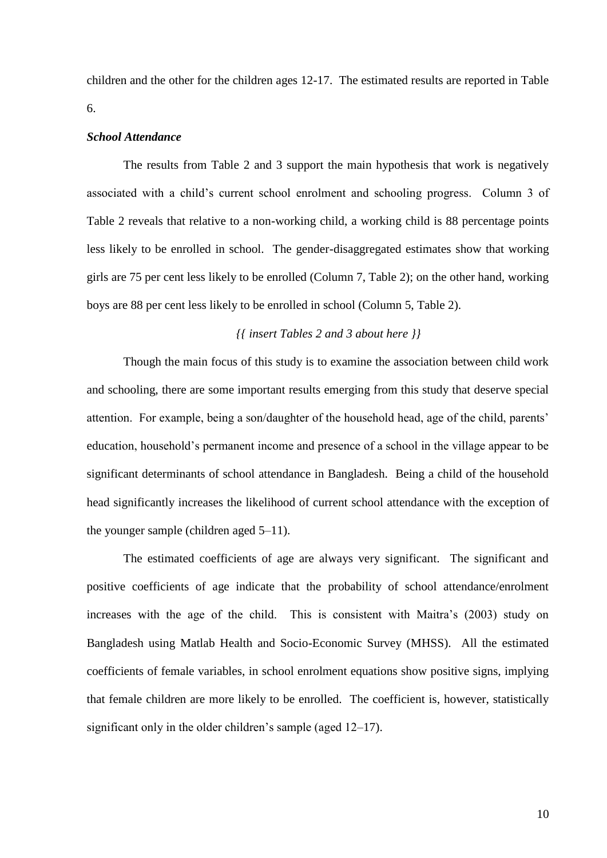children and the other for the children ages 12-17. The estimated results are reported in Table 6.

#### *School Attendance*

The results from Table 2 and 3 support the main hypothesis that work is negatively associated with a child"s current school enrolment and schooling progress. Column 3 of Table 2 reveals that relative to a non-working child, a working child is 88 percentage points less likely to be enrolled in school. The gender-disaggregated estimates show that working girls are 75 per cent less likely to be enrolled (Column 7, Table 2); on the other hand, working boys are 88 per cent less likely to be enrolled in school (Column 5, Table 2).

## *{{ insert Tables 2 and 3 about here }}*

Though the main focus of this study is to examine the association between child work and schooling, there are some important results emerging from this study that deserve special attention. For example, being a son/daughter of the household head, age of the child, parents" education, household"s permanent income and presence of a school in the village appear to be significant determinants of school attendance in Bangladesh. Being a child of the household head significantly increases the likelihood of current school attendance with the exception of the younger sample (children aged 5–11).

The estimated coefficients of age are always very significant. The significant and positive coefficients of age indicate that the probability of school attendance/enrolment increases with the age of the child. This is consistent with Maitra's (2003) study on Bangladesh using Matlab Health and Socio-Economic Survey (MHSS). All the estimated coefficients of female variables, in school enrolment equations show positive signs, implying that female children are more likely to be enrolled. The coefficient is, however, statistically significant only in the older children's sample (aged 12–17).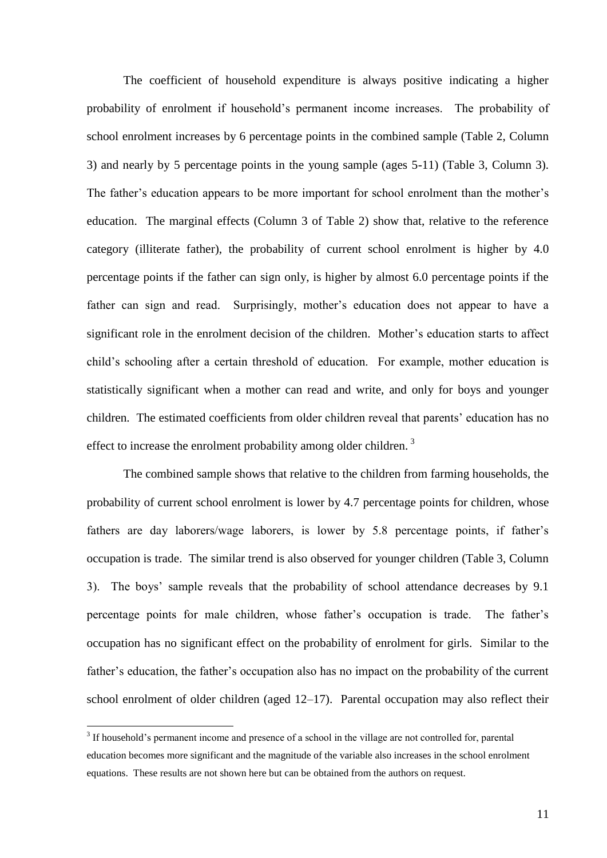The coefficient of household expenditure is always positive indicating a higher probability of enrolment if household"s permanent income increases. The probability of school enrolment increases by 6 percentage points in the combined sample (Table 2, Column 3) and nearly by 5 percentage points in the young sample (ages 5-11) (Table 3, Column 3). The father's education appears to be more important for school enrolment than the mother's education. The marginal effects (Column 3 of Table 2) show that, relative to the reference category (illiterate father), the probability of current school enrolment is higher by 4.0 percentage points if the father can sign only, is higher by almost 6.0 percentage points if the father can sign and read. Surprisingly, mother's education does not appear to have a significant role in the enrolment decision of the children. Mother's education starts to affect child"s schooling after a certain threshold of education. For example, mother education is statistically significant when a mother can read and write, and only for boys and younger children. The estimated coefficients from older children reveal that parents' education has no effect to increase the enrolment probability among older children.<sup>3</sup>

The combined sample shows that relative to the children from farming households, the probability of current school enrolment is lower by 4.7 percentage points for children, whose fathers are day laborers/wage laborers, is lower by 5.8 percentage points, if father's occupation is trade. The similar trend is also observed for younger children (Table 3, Column 3). The boys" sample reveals that the probability of school attendance decreases by 9.1 percentage points for male children, whose father"s occupation is trade. The father"s occupation has no significant effect on the probability of enrolment for girls. Similar to the father's education, the father's occupation also has no impact on the probability of the current school enrolment of older children (aged 12–17). Parental occupation may also reflect their

<u>.</u>

<sup>&</sup>lt;sup>3</sup> If household's permanent income and presence of a school in the village are not controlled for, parental education becomes more significant and the magnitude of the variable also increases in the school enrolment equations. These results are not shown here but can be obtained from the authors on request.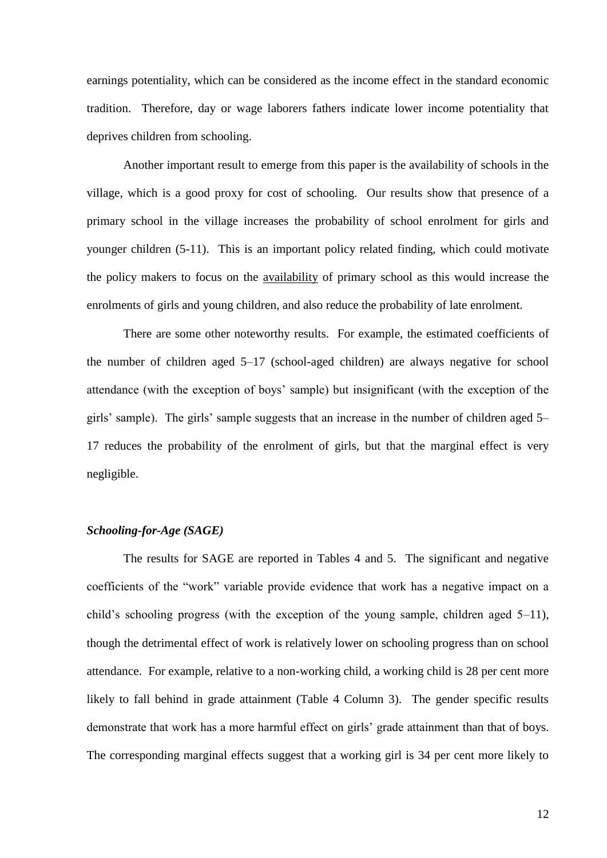earnings potentiality, which can be considered as the income effect in the standard economic tradition. Therefore, day or wage laborers fathers indicate lower income potentiality that deprives children from schooling.

Another important result to emerge from this paper is the availability of schools in the village, which is a good proxy for cost of schooling. Our results show that presence of a primary school in the village increases the probability of school enrolment for girls and younger children (5-11). This is an important policy related finding, which could motivate the policy makers to focus on the availability of primary school as this would increase the enrolments of girls and young children, and also reduce the probability of late enrolment.

There are some other noteworthy results. For example, the estimated coefficients of the number of children aged 5–17 (school-aged children) are always negative for school attendance (with the exception of boys" sample) but insignificant (with the exception of the girls' sample). The girls' sample suggests that an increase in the number of children aged 5– 17 reduces the probability of the enrolment of girls, but that the marginal effect is very negligible.

## *Schooling-for-Age (SAGE)*

The results for SAGE are reported in Tables 4 and 5. The significant and negative coefficients of the "work" variable provide evidence that work has a negative impact on a child"s schooling progress (with the exception of the young sample, children aged 5–11), though the detrimental effect of work is relatively lower on schooling progress than on school attendance. For example, relative to a non-working child, a working child is 28 per cent more likely to fall behind in grade attainment (Table 4 Column 3). The gender specific results demonstrate that work has a more harmful effect on girls' grade attainment than that of boys. The corresponding marginal effects suggest that a working girl is 34 per cent more likely to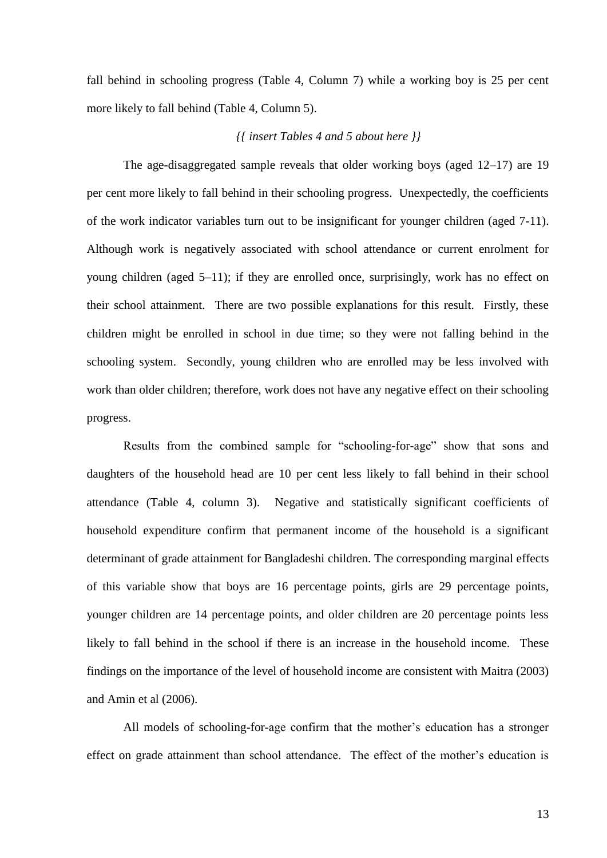fall behind in schooling progress (Table 4, Column 7) while a working boy is 25 per cent more likely to fall behind (Table 4, Column 5).

### *{{ insert Tables 4 and 5 about here }}*

The age-disaggregated sample reveals that older working boys (aged 12–17) are 19 per cent more likely to fall behind in their schooling progress. Unexpectedly, the coefficients of the work indicator variables turn out to be insignificant for younger children (aged 7-11). Although work is negatively associated with school attendance or current enrolment for young children (aged 5–11); if they are enrolled once, surprisingly, work has no effect on their school attainment. There are two possible explanations for this result. Firstly, these children might be enrolled in school in due time; so they were not falling behind in the schooling system. Secondly, young children who are enrolled may be less involved with work than older children; therefore, work does not have any negative effect on their schooling progress.

Results from the combined sample for "schooling-for-age" show that sons and daughters of the household head are 10 per cent less likely to fall behind in their school attendance (Table 4, column 3). Negative and statistically significant coefficients of household expenditure confirm that permanent income of the household is a significant determinant of grade attainment for Bangladeshi children. The corresponding marginal effects of this variable show that boys are 16 percentage points, girls are 29 percentage points, younger children are 14 percentage points, and older children are 20 percentage points less likely to fall behind in the school if there is an increase in the household income. These findings on the importance of the level of household income are consistent with Maitra (2003) and Amin et al (2006).

All models of schooling-for-age confirm that the mother's education has a stronger effect on grade attainment than school attendance. The effect of the mother's education is

13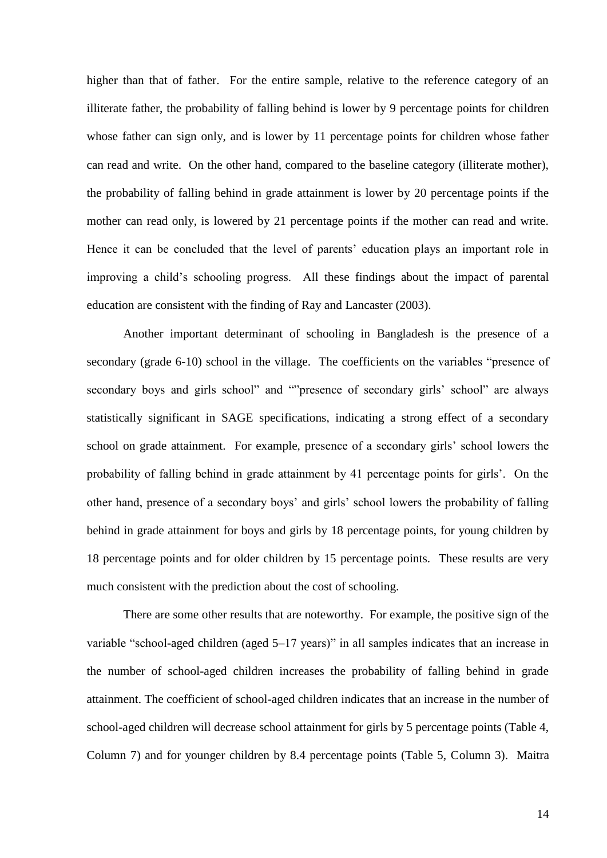higher than that of father. For the entire sample, relative to the reference category of an illiterate father, the probability of falling behind is lower by 9 percentage points for children whose father can sign only, and is lower by 11 percentage points for children whose father can read and write. On the other hand, compared to the baseline category (illiterate mother), the probability of falling behind in grade attainment is lower by 20 percentage points if the mother can read only, is lowered by 21 percentage points if the mother can read and write. Hence it can be concluded that the level of parents' education plays an important role in improving a child"s schooling progress. All these findings about the impact of parental education are consistent with the finding of Ray and Lancaster (2003).

Another important determinant of schooling in Bangladesh is the presence of a secondary (grade 6-10) school in the village. The coefficients on the variables "presence of secondary boys and girls school" and ""presence of secondary girls' school" are always statistically significant in SAGE specifications, indicating a strong effect of a secondary school on grade attainment. For example, presence of a secondary girls' school lowers the probability of falling behind in grade attainment by 41 percentage points for girls". On the other hand, presence of a secondary boys" and girls" school lowers the probability of falling behind in grade attainment for boys and girls by 18 percentage points, for young children by 18 percentage points and for older children by 15 percentage points. These results are very much consistent with the prediction about the cost of schooling.

There are some other results that are noteworthy. For example, the positive sign of the variable "school-aged children (aged 5–17 years)" in all samples indicates that an increase in the number of school-aged children increases the probability of falling behind in grade attainment. The coefficient of school-aged children indicates that an increase in the number of school-aged children will decrease school attainment for girls by 5 percentage points (Table 4, Column 7) and for younger children by 8.4 percentage points (Table 5, Column 3). Maitra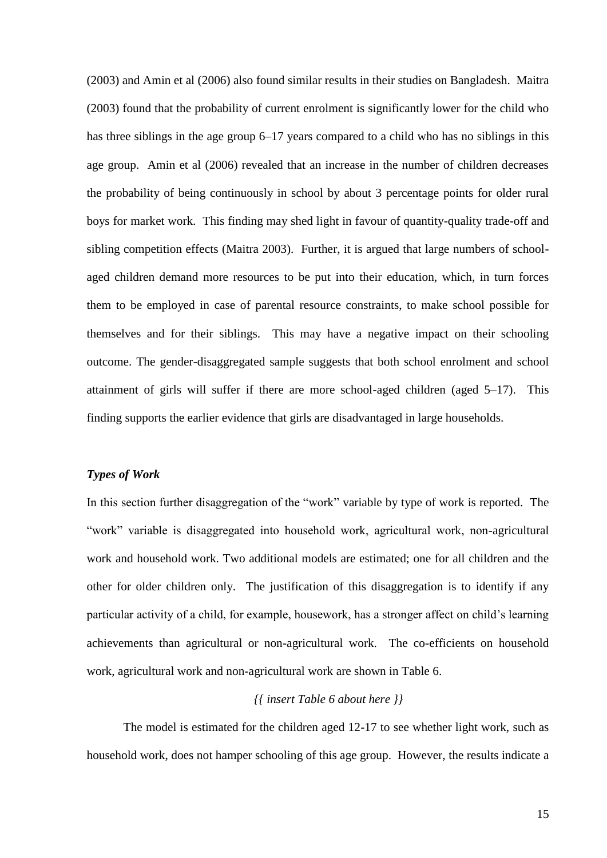(2003) and Amin et al (2006) also found similar results in their studies on Bangladesh. Maitra (2003) found that the probability of current enrolment is significantly lower for the child who has three siblings in the age group 6–17 years compared to a child who has no siblings in this age group. Amin et al (2006) revealed that an increase in the number of children decreases the probability of being continuously in school by about 3 percentage points for older rural boys for market work. This finding may shed light in favour of quantity-quality trade-off and sibling competition effects (Maitra 2003). Further, it is argued that large numbers of schoolaged children demand more resources to be put into their education, which, in turn forces them to be employed in case of parental resource constraints, to make school possible for themselves and for their siblings. This may have a negative impact on their schooling outcome. The gender-disaggregated sample suggests that both school enrolment and school attainment of girls will suffer if there are more school-aged children (aged 5–17). This finding supports the earlier evidence that girls are disadvantaged in large households.

#### *Types of Work*

In this section further disaggregation of the "work" variable by type of work is reported. The "work" variable is disaggregated into household work, agricultural work, non-agricultural work and household work. Two additional models are estimated; one for all children and the other for older children only. The justification of this disaggregation is to identify if any particular activity of a child, for example, housework, has a stronger affect on child"s learning achievements than agricultural or non-agricultural work. The co-efficients on household work, agricultural work and non-agricultural work are shown in Table 6.

### *{{ insert Table 6 about here }}*

The model is estimated for the children aged 12-17 to see whether light work, such as household work, does not hamper schooling of this age group. However, the results indicate a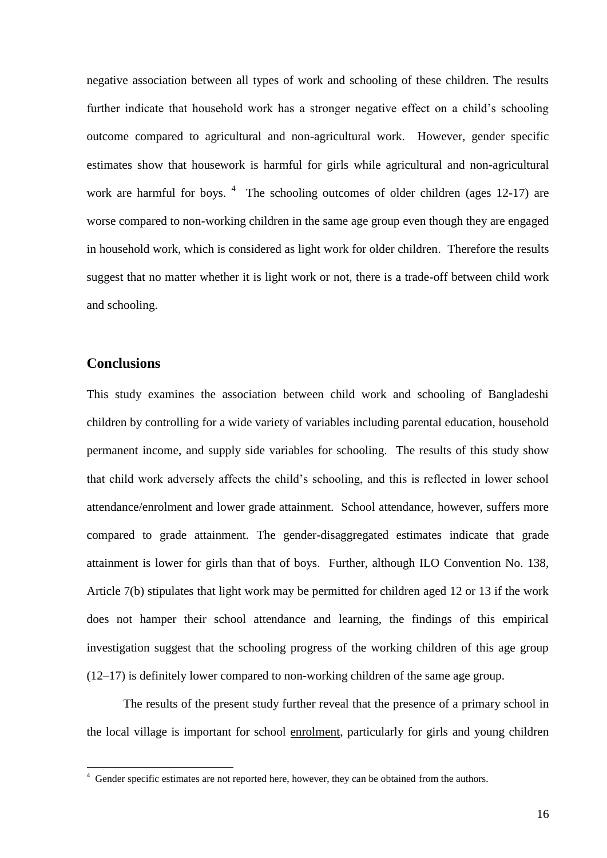negative association between all types of work and schooling of these children. The results further indicate that household work has a stronger negative effect on a child"s schooling outcome compared to agricultural and non-agricultural work. However, gender specific estimates show that housework is harmful for girls while agricultural and non-agricultural work are harmful for boys.  $4$  The schooling outcomes of older children (ages 12-17) are worse compared to non-working children in the same age group even though they are engaged in household work, which is considered as light work for older children. Therefore the results suggest that no matter whether it is light work or not, there is a trade-off between child work and schooling.

# **Conclusions**

This study examines the association between child work and schooling of Bangladeshi children by controlling for a wide variety of variables including parental education, household permanent income, and supply side variables for schooling. The results of this study show that child work adversely affects the child"s schooling, and this is reflected in lower school attendance/enrolment and lower grade attainment. School attendance, however, suffers more compared to grade attainment. The gender-disaggregated estimates indicate that grade attainment is lower for girls than that of boys. Further, although ILO Convention No. 138, Article 7(b) stipulates that light work may be permitted for children aged 12 or 13 if the work does not hamper their school attendance and learning, the findings of this empirical investigation suggest that the schooling progress of the working children of this age group (12–17) is definitely lower compared to non-working children of the same age group.

The results of the present study further reveal that the presence of a primary school in the local village is important for school enrolment, particularly for girls and young children

<sup>&</sup>lt;sup>4</sup> Gender specific estimates are not reported here, however, they can be obtained from the authors.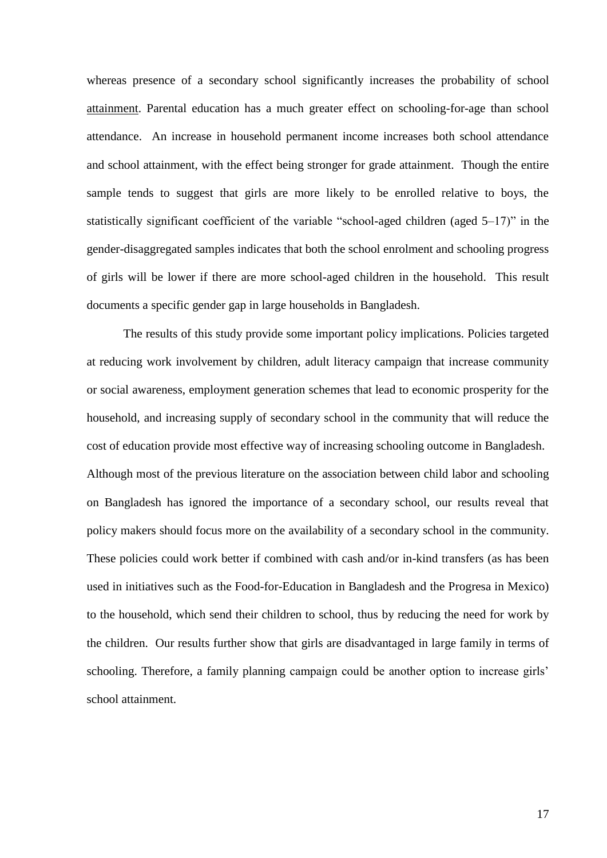whereas presence of a secondary school significantly increases the probability of school attainment. Parental education has a much greater effect on schooling-for-age than school attendance. An increase in household permanent income increases both school attendance and school attainment, with the effect being stronger for grade attainment. Though the entire sample tends to suggest that girls are more likely to be enrolled relative to boys, the statistically significant coefficient of the variable "school-aged children (aged 5–17)" in the gender-disaggregated samples indicates that both the school enrolment and schooling progress of girls will be lower if there are more school-aged children in the household. This result documents a specific gender gap in large households in Bangladesh.

The results of this study provide some important policy implications. Policies targeted at reducing work involvement by children, adult literacy campaign that increase community or social awareness, employment generation schemes that lead to economic prosperity for the household, and increasing supply of secondary school in the community that will reduce the cost of education provide most effective way of increasing schooling outcome in Bangladesh. Although most of the previous literature on the association between child labor and schooling on Bangladesh has ignored the importance of a secondary school, our results reveal that policy makers should focus more on the availability of a secondary school in the community. These policies could work better if combined with cash and/or in-kind transfers (as has been used in initiatives such as the Food-for-Education in Bangladesh and the Progresa in Mexico) to the household, which send their children to school, thus by reducing the need for work by the children. Our results further show that girls are disadvantaged in large family in terms of schooling. Therefore, a family planning campaign could be another option to increase girls' school attainment.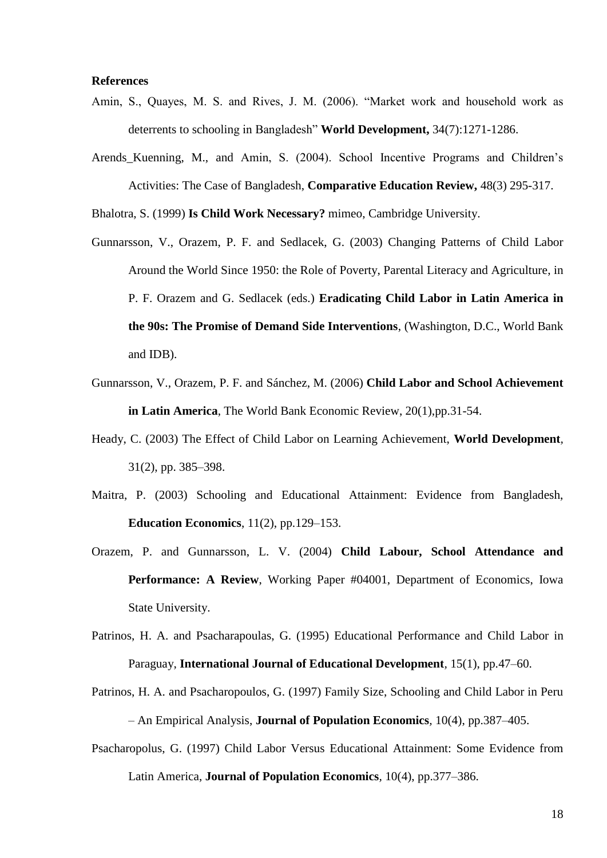#### **References**

- Amin, S., Quayes, M. S. and Rives, J. M. (2006). "Market work and household work as deterrents to schooling in Bangladesh" **World Development,** [34\(7\)](http://www.sciencedirect.com/science?_ob=PublicationURL&_tockey=%23TOC%235946%232006%23999659992%23627796%23FLA%23&_cdi=5946&_pubType=J&view=c&_auth=y&_acct=C000052720&_version=1&_urlVersion=0&_userid=1472215&md5=f2fe329cd0fb9853e772f10da28a98c7):1271-1286.
- Arends\_Kuenning, M., and Amin, S. (2004). School Incentive Programs and Children"s Activities: The Case of Bangladesh, **Comparative Education Review,** 48(3) 295-317.

Bhalotra, S. (1999) **Is Child Work Necessary?** mimeo, Cambridge University.

- Gunnarsson, V., Orazem, P. F. and Sedlacek, G. (2003) Changing Patterns of Child Labor Around the World Since 1950: the Role of Poverty, Parental Literacy and Agriculture, in P. F. Orazem and G. Sedlacek (eds.) **Eradicating Child Labor in Latin America in the 90s: The Promise of Demand Side Interventions**, (Washington, D.C., World Bank and IDB).
- Gunnarsson, V., Orazem, P. F. and Sánchez, M. (2006) **Child Labor and School Achievement in Latin America**, The World Bank Economic Review, 20(1),pp.31-54.
- Heady, C. (2003) The Effect of Child Labor on Learning Achievement, **World Development***,* 31(2), pp. 385–398.
- Maitra, P. (2003) Schooling and Educational Attainment: Evidence from Bangladesh, **Education Economics**, 11(2), pp.129–153.
- Orazem, P. and Gunnarsson, L. V. (2004) **Child Labour, School Attendance and Performance: A Review**, Working Paper #04001, Department of Economics, Iowa State University.
- Patrinos, H. A. and Psacharapoulas, G. (1995) Educational Performance and Child Labor in Paraguay, **International Journal of Educational Development***,* 15(1), pp.47–60.
- Patrinos, H. A. and Psacharopoulos, G. (1997) Family Size, Schooling and Child Labor in Peru – An Empirical Analysis, **Journal of Population Economics***,* 10(4), pp.387–405.
- Psacharopolus, G. (1997) Child Labor Versus Educational Attainment: Some Evidence from Latin America, **Journal of Population Economics***,* 10(4), pp.377–386.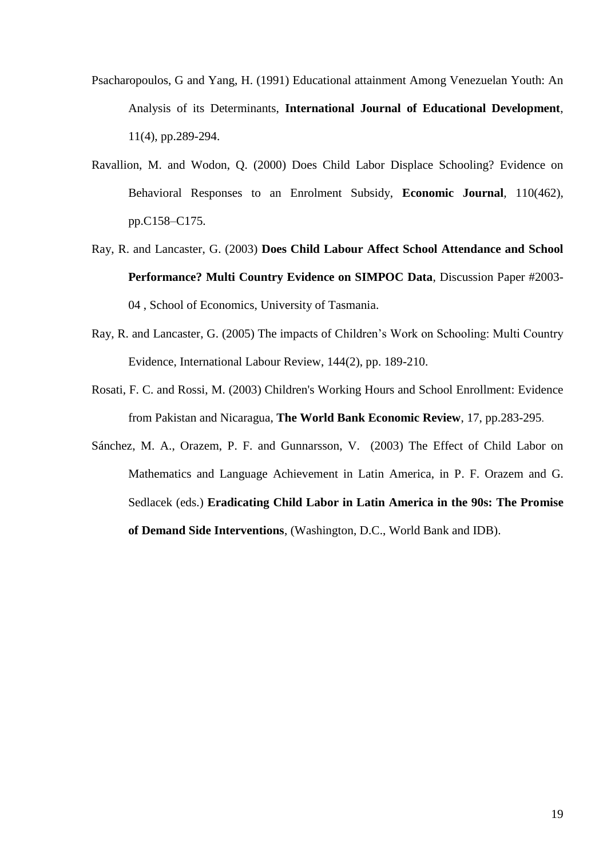- Psacharopoulos, G and Yang, H. (1991) Educational attainment Among Venezuelan Youth: An Analysis of its Determinants, **International Journal of Educational Development**, 11(4), pp.289-294.
- Ravallion, M. and Wodon, Q. (2000) Does Child Labor Displace Schooling? Evidence on Behavioral Responses to an Enrolment Subsidy, **Economic Journal***,* 110(462), pp.C158–C175.
- Ray, R. and Lancaster, G. (2003) **Does Child Labour Affect School Attendance and School Performance? Multi Country Evidence on SIMPOC Data**, Discussion Paper #2003- 04 , School of Economics, University of Tasmania.
- Ray, R. and Lancaster, G. (2005) The impacts of Children"s Work on Schooling: Multi Country Evidence, International Labour Review, 144(2), pp. 189-210.
- Rosati, F. C. and Rossi, M. (2003) Children's Working Hours and School Enrollment: Evidence from Pakistan and Nicaragua, **The World Bank Economic Review**, 17, pp.283-295.
- Sánchez, M. A., Orazem, P. F. and Gunnarsson, V. (2003) The Effect of Child Labor on Mathematics and Language Achievement in Latin America, in P. F. Orazem and G. Sedlacek (eds.) **Eradicating Child Labor in Latin America in the 90s: The Promise of Demand Side Interventions**, (Washington, D.C., World Bank and IDB).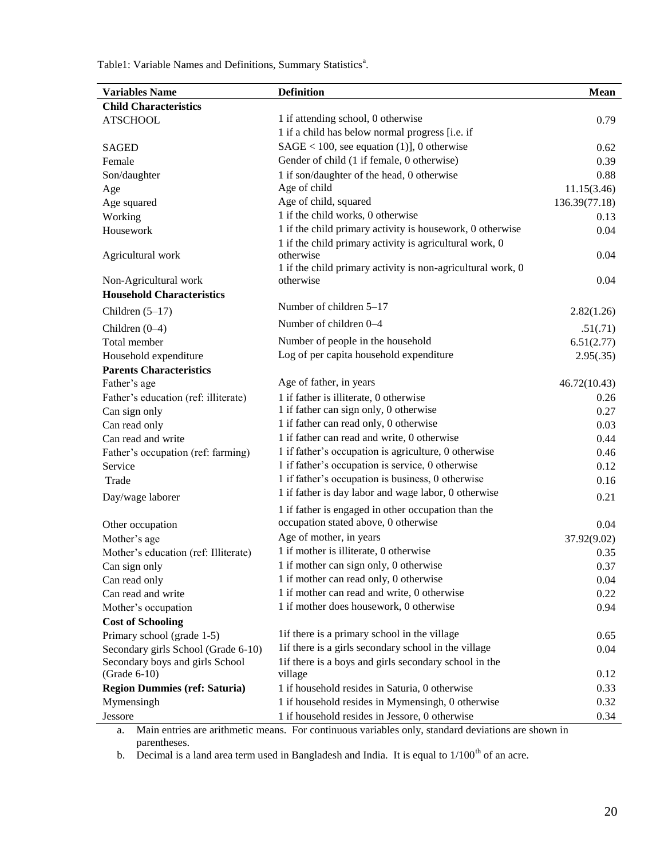Table1: Variable Names and Definitions, Summary Statistics<sup>a</sup>.

| <b>Variables Name</b>                | <b>Definition</b>                                           | <b>Mean</b>   |
|--------------------------------------|-------------------------------------------------------------|---------------|
| <b>Child Characteristics</b>         |                                                             |               |
| <b>ATSCHOOL</b>                      | 1 if attending school, 0 otherwise                          | 0.79          |
|                                      | 1 if a child has below normal progress [i.e. if             |               |
| <b>SAGED</b>                         | $SAGE < 100$ , see equation (1)], 0 otherwise               | 0.62          |
| Female                               | Gender of child (1 if female, 0 otherwise)                  | 0.39          |
| Son/daughter                         | 1 if son/daughter of the head, 0 otherwise                  | 0.88          |
| Age                                  | Age of child                                                | 11.15(3.46)   |
| Age squared                          | Age of child, squared                                       | 136.39(77.18) |
| Working                              | 1 if the child works, 0 otherwise                           | 0.13          |
| Housework                            | 1 if the child primary activity is housework, 0 otherwise   | 0.04          |
|                                      | 1 if the child primary activity is agricultural work, 0     |               |
| Agricultural work                    | otherwise                                                   | 0.04          |
|                                      | 1 if the child primary activity is non-agricultural work, 0 |               |
| Non-Agricultural work                | otherwise                                                   | 0.04          |
| <b>Household Characteristics</b>     |                                                             |               |
| Children $(5-17)$                    | Number of children 5–17                                     | 2.82(1.26)    |
| Children $(0-4)$                     | Number of children 0-4                                      | .51(.71)      |
| Total member                         | Number of people in the household                           | 6.51(2.77)    |
| Household expenditure                | Log of per capita household expenditure                     | 2.95(.35)     |
| <b>Parents Characteristics</b>       |                                                             |               |
| Father's age                         | Age of father, in years                                     | 46.72(10.43)  |
| Father's education (ref: illiterate) | 1 if father is illiterate, 0 otherwise                      | 0.26          |
| Can sign only                        | 1 if father can sign only, 0 otherwise                      | 0.27          |
| Can read only                        | 1 if father can read only, 0 otherwise                      | 0.03          |
| Can read and write                   | 1 if father can read and write, 0 otherwise                 | 0.44          |
| Father's occupation (ref: farming)   | 1 if father's occupation is agriculture, 0 otherwise        | 0.46          |
| Service                              | 1 if father's occupation is service, 0 otherwise            | 0.12          |
| Trade                                | 1 if father's occupation is business, 0 otherwise           | 0.16          |
| Day/wage laborer                     | 1 if father is day labor and wage labor, 0 otherwise        | 0.21          |
|                                      | 1 if father is engaged in other occupation than the         |               |
| Other occupation                     | occupation stated above, 0 otherwise                        | 0.04          |
| Mother's age                         | Age of mother, in years                                     | 37.92(9.02)   |
| Mother's education (ref: Illiterate) | 1 if mother is illiterate, 0 otherwise                      | 0.35          |
| Can sign only                        | 1 if mother can sign only, 0 otherwise                      | 0.37          |
| Can read only                        | 1 if mother can read only, 0 otherwise                      | 0.04          |
| Can read and write                   | 1 if mother can read and write, 0 otherwise                 | 0.22          |
| Mother's occupation                  | 1 if mother does housework, 0 otherwise                     | 0.94          |
| <b>Cost of Schooling</b>             |                                                             |               |
| Primary school (grade 1-5)           | lif there is a primary school in the village                | 0.65          |
| Secondary girls School (Grade 6-10)  | lif there is a girls secondary school in the village        | 0.04          |
| Secondary boys and girls School      | lif there is a boys and girls secondary school in the       |               |
| $(Grade 6-10)$                       | village                                                     | 0.12          |
| <b>Region Dummies (ref: Saturia)</b> | 1 if household resides in Saturia, 0 otherwise              | 0.33          |
| Mymensingh                           | 1 if household resides in Mymensingh, 0 otherwise           | 0.32          |
| Jessore                              | 1 if household resides in Jessore, 0 otherwise              | 0.34          |

a. Main entries are arithmetic means. For continuous variables only, standard deviations are shown in parentheses.

b. Decimal is a land area term used in Bangladesh and India. It is equal to  $1/100<sup>th</sup>$  of an acre.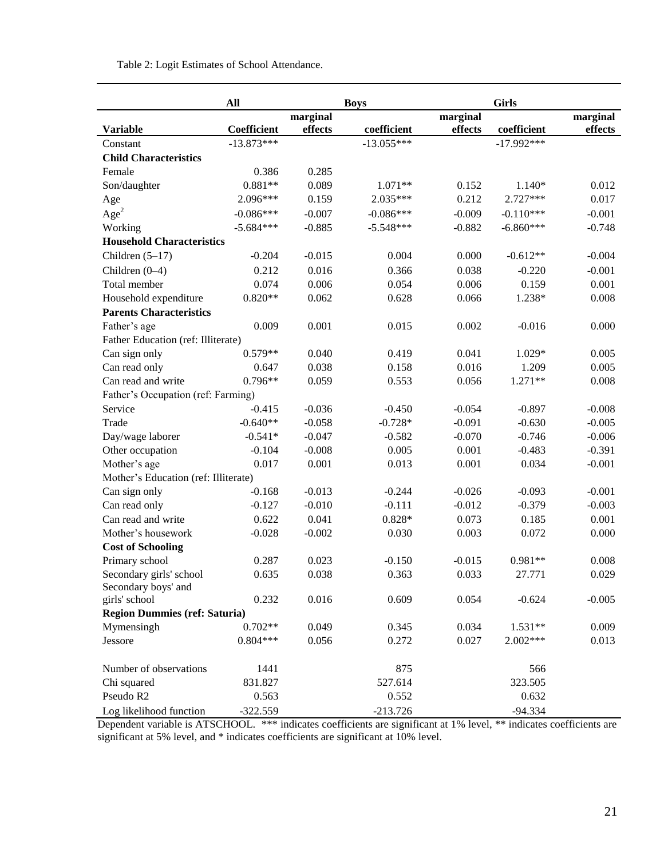Table 2: Logit Estimates of School Attendance.

|                                      | All          | <b>Boys</b> |              |          |              |          |
|--------------------------------------|--------------|-------------|--------------|----------|--------------|----------|
|                                      |              | marginal    |              | marginal |              | marginal |
| <b>Variable</b>                      | Coefficient  | effects     | coefficient  | effects  | coefficient  | effects  |
| Constant                             | $-13.873***$ |             | $-13.055***$ |          | $-17.992***$ |          |
| <b>Child Characteristics</b>         |              |             |              |          |              |          |
| Female                               | 0.386        | 0.285       |              |          |              |          |
| Son/daughter                         | $0.881**$    | 0.089       | 1.071**      | 0.152    | $1.140*$     | 0.012    |
| Age                                  | 2.096***     | 0.159       | 2.035***     | 0.212    | 2.727***     | 0.017    |
| Age <sup>2</sup>                     | $-0.086***$  | $-0.007$    | $-0.086***$  | $-0.009$ | $-0.110***$  | $-0.001$ |
| Working                              | $-5.684***$  | $-0.885$    | $-5.548***$  | $-0.882$ | $-6.860***$  | $-0.748$ |
| <b>Household Characteristics</b>     |              |             |              |          |              |          |
| Children $(5-17)$                    | $-0.204$     | $-0.015$    | 0.004        | 0.000    | $-0.612**$   | $-0.004$ |
| Children (0-4)                       | 0.212        | 0.016       | 0.366        | 0.038    | $-0.220$     | $-0.001$ |
| Total member                         | 0.074        | 0.006       | 0.054        | 0.006    | 0.159        | 0.001    |
| Household expenditure                | $0.820**$    | 0.062       | 0.628        | 0.066    | 1.238*       | 0.008    |
| <b>Parents Characteristics</b>       |              |             |              |          |              |          |
| Father's age                         | 0.009        | 0.001       | 0.015        | 0.002    | $-0.016$     | 0.000    |
| Father Education (ref: Illiterate)   |              |             |              |          |              |          |
| Can sign only                        | $0.579**$    | 0.040       | 0.419        | 0.041    | $1.029*$     | 0.005    |
| Can read only                        | 0.647        | 0.038       | 0.158        | 0.016    | 1.209        | 0.005    |
| Can read and write                   | $0.796**$    | 0.059       | 0.553        | 0.056    | $1.271**$    | 0.008    |
| Father's Occupation (ref: Farming)   |              |             |              |          |              |          |
| Service                              | $-0.415$     | $-0.036$    | $-0.450$     | $-0.054$ | $-0.897$     | $-0.008$ |
| Trade                                | $-0.640**$   | $-0.058$    | $-0.728*$    | $-0.091$ | $-0.630$     | $-0.005$ |
| Day/wage laborer                     | $-0.541*$    | $-0.047$    | $-0.582$     | $-0.070$ | $-0.746$     | $-0.006$ |
| Other occupation                     | $-0.104$     | $-0.008$    | 0.005        | 0.001    | $-0.483$     | $-0.391$ |
| Mother's age                         | 0.017        | 0.001       | 0.013        | 0.001    | 0.034        | $-0.001$ |
| Mother's Education (ref: Illiterate) |              |             |              |          |              |          |
| Can sign only                        | $-0.168$     | $-0.013$    | $-0.244$     | $-0.026$ | $-0.093$     | $-0.001$ |
| Can read only                        | $-0.127$     | $-0.010$    | $-0.111$     | $-0.012$ | $-0.379$     | $-0.003$ |
| Can read and write                   | 0.622        | 0.041       | $0.828*$     | 0.073    | 0.185        | 0.001    |
| Mother's housework                   | $-0.028$     | $-0.002$    | 0.030        | 0.003    | 0.072        | 0.000    |
| <b>Cost of Schooling</b>             |              |             |              |          |              |          |
| Primary school                       | 0.287        | 0.023       | $-0.150$     | $-0.015$ | $0.981**$    | 0.008    |
| Secondary girls' school              | 0.635        | 0.038       | 0.363        | 0.033    | 27.771       | 0.029    |
| Secondary boys' and                  |              |             |              |          |              |          |
| girls' school                        | 0.232        | 0.016       | 0.609        | 0.054    | $-0.624$     | $-0.005$ |
| <b>Region Dummies (ref: Saturia)</b> |              |             |              |          |              |          |
| Mymensingh                           | $0.702**$    | 0.049       | 0.345        | 0.034    | $1.531**$    | 0.009    |
| Jessore                              | $0.804***$   | 0.056       | 0.272        | 0.027    | 2.002***     | 0.013    |
| Number of observations               | 1441         |             | 875          |          | 566          |          |
| Chi squared                          | 831.827      |             | 527.614      |          | 323.505      |          |
| Pseudo R2                            | 0.563        |             | 0.552        |          | 0.632        |          |
| Log likelihood function              | $-322.559$   |             | $-213.726$   |          | $-94.334$    |          |

Dependent variable is ATSCHOOL. \*\*\* indicates coefficients are significant at 1% level, \*\* indicates coefficients are significant at 5% level, and \* indicates coefficients are significant at 10% level.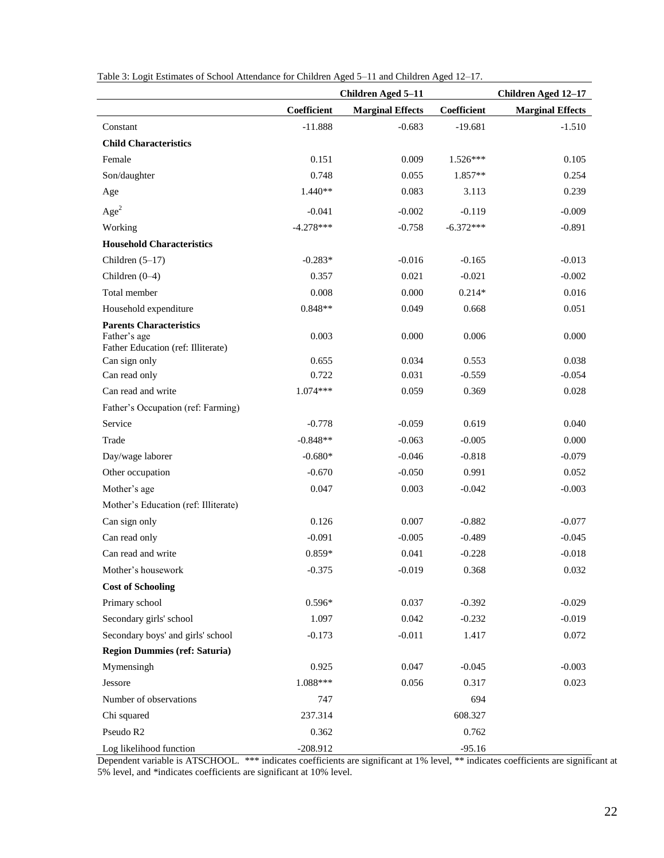|                                                    |             | <b>Children Aged 5-11</b> | Children Aged 12-17 |                         |  |
|----------------------------------------------------|-------------|---------------------------|---------------------|-------------------------|--|
|                                                    | Coefficient | <b>Marginal Effects</b>   | Coefficient         | <b>Marginal Effects</b> |  |
| Constant                                           | $-11.888$   | $-0.683$                  | $-19.681$           | $-1.510$                |  |
| <b>Child Characteristics</b>                       |             |                           |                     |                         |  |
| Female                                             | 0.151       | 0.009                     | $1.526***$          | 0.105                   |  |
| Son/daughter                                       | 0.748       | 0.055                     | $1.857**$           | 0.254                   |  |
| Age                                                | $1.440**$   | 0.083                     | 3.113               | 0.239                   |  |
| Age <sup>2</sup>                                   | $-0.041$    | $-0.002$                  | $-0.119$            | $-0.009$                |  |
| Working                                            | $-4.278***$ | $-0.758$                  | $-6.372***$         | $-0.891$                |  |
| <b>Household Characteristics</b>                   |             |                           |                     |                         |  |
| Children $(5-17)$                                  | $-0.283*$   | $-0.016$                  | $-0.165$            | $-0.013$                |  |
| Children (0-4)                                     | 0.357       | 0.021                     | $-0.021$            | $-0.002$                |  |
| Total member                                       | 0.008       | 0.000                     | $0.214*$            | 0.016                   |  |
| Household expenditure                              | $0.848**$   | 0.049                     | 0.668               | 0.051                   |  |
| <b>Parents Characteristics</b>                     |             |                           |                     |                         |  |
| Father's age<br>Father Education (ref: Illiterate) | 0.003       | 0.000                     | 0.006               | 0.000                   |  |
| Can sign only                                      | 0.655       | 0.034                     | 0.553               | 0.038                   |  |
| Can read only                                      | 0.722       | 0.031                     | $-0.559$            | $-0.054$                |  |
| Can read and write                                 | $1.074***$  | 0.059                     | 0.369               | 0.028                   |  |
| Father's Occupation (ref: Farming)                 |             |                           |                     |                         |  |
| Service                                            | $-0.778$    | $-0.059$                  | 0.619               | 0.040                   |  |
| Trade                                              | $-0.848**$  | $-0.063$                  | $-0.005$            | 0.000                   |  |
| Day/wage laborer                                   | $-0.680*$   | $-0.046$                  | $-0.818$            | $-0.079$                |  |
| Other occupation                                   | $-0.670$    | $-0.050$                  | 0.991               | 0.052                   |  |
| Mother's age                                       | 0.047       | 0.003                     | $-0.042$            | $-0.003$                |  |
| Mother's Education (ref: Illiterate)               |             |                           |                     |                         |  |
| Can sign only                                      | 0.126       | 0.007                     | $-0.882$            | $-0.077$                |  |
| Can read only                                      | $-0.091$    | $-0.005$                  | $-0.489$            | $-0.045$                |  |
| Can read and write                                 | 0.859*      | 0.041                     | $-0.228$            | $-0.018$                |  |
| Mother's housework                                 | $-0.375$    | $-0.019$                  | 0.368               | 0.032                   |  |
| <b>Cost of Schooling</b>                           |             |                           |                     |                         |  |
| Primary school                                     | $0.596*$    | 0.037                     | $-0.392$            | $-0.029$                |  |
| Secondary girls' school                            | 1.097       | 0.042                     | $-0.232$            | $-0.019$                |  |
| Secondary boys' and girls' school                  | $-0.173$    | $-0.011$                  | 1.417               | 0.072                   |  |
| <b>Region Dummies (ref: Saturia)</b>               |             |                           |                     |                         |  |
| Mymensingh                                         | 0.925       | 0.047                     | $-0.045$            | $-0.003$                |  |
| Jessore                                            | 1.088***    | 0.056                     | 0.317               | 0.023                   |  |
| Number of observations                             | 747         |                           | 694                 |                         |  |
| Chi squared                                        | 237.314     |                           | 608.327             |                         |  |
| Pseudo R2                                          | 0.362       |                           | 0.762               |                         |  |
| Log likelihood function                            | $-208.912$  |                           | $-95.16$            |                         |  |

Table 3: Logit Estimates of School Attendance for Children Aged 5–11 and Children Aged 12–17.

Dependent variable is ATSCHOOL. \*\*\* indicates coefficients are significant at 1% level, \*\* indicates coefficients are significant at 5% level, and \*indicates coefficients are significant at 10% level.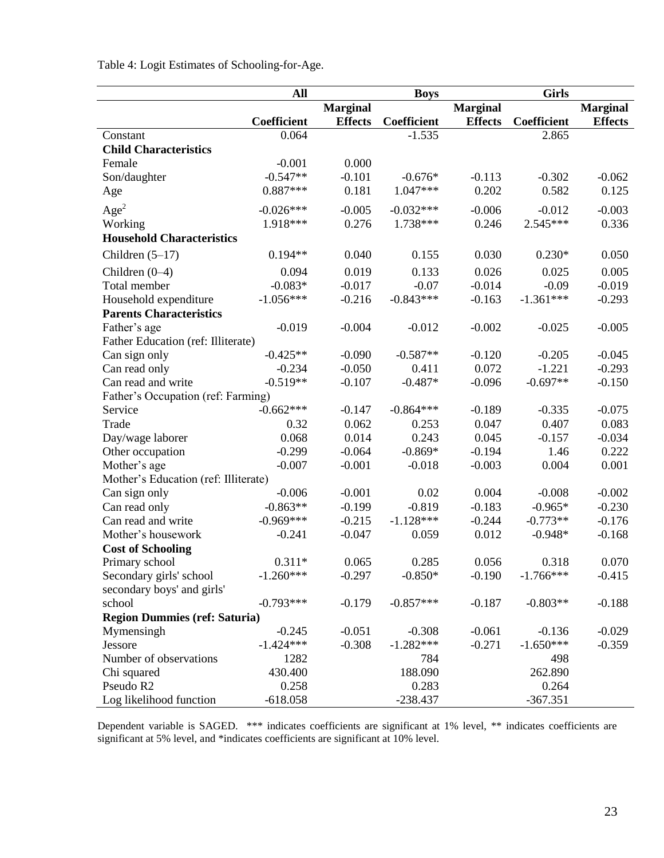Table 4: Logit Estimates of Schooling-for-Age.

|                                      | All         | <b>Boys</b>     |                    |                 | <b>Girls</b> |                 |  |
|--------------------------------------|-------------|-----------------|--------------------|-----------------|--------------|-----------------|--|
|                                      |             | <b>Marginal</b> |                    | <b>Marginal</b> |              | <b>Marginal</b> |  |
|                                      | Coefficient | <b>Effects</b>  | <b>Coefficient</b> | <b>Effects</b>  | Coefficient  | <b>Effects</b>  |  |
| Constant                             | 0.064       |                 | $-1.535$           |                 | 2.865        |                 |  |
| <b>Child Characteristics</b>         |             |                 |                    |                 |              |                 |  |
| Female                               | $-0.001$    | 0.000           |                    |                 |              |                 |  |
| Son/daughter                         | $-0.547**$  | $-0.101$        | $-0.676*$          | $-0.113$        | $-0.302$     | $-0.062$        |  |
| Age                                  | $0.887***$  | 0.181           | $1.047***$         | 0.202           | 0.582        | 0.125           |  |
| Age <sup>2</sup>                     | $-0.026***$ | $-0.005$        | $-0.032***$        | $-0.006$        | $-0.012$     | $-0.003$        |  |
| Working                              | 1.918***    | 0.276           | 1.738***           | 0.246           | $2.545***$   | 0.336           |  |
| <b>Household Characteristics</b>     |             |                 |                    |                 |              |                 |  |
| Children $(5-17)$                    | $0.194**$   | 0.040           | 0.155              | 0.030           | $0.230*$     | 0.050           |  |
| Children $(0-4)$                     | 0.094       | 0.019           | 0.133              | 0.026           | 0.025        | 0.005           |  |
| Total member                         | $-0.083*$   | $-0.017$        | $-0.07$            | $-0.014$        | $-0.09$      | $-0.019$        |  |
| Household expenditure                | $-1.056***$ | $-0.216$        | $-0.843***$        | $-0.163$        | $-1.361***$  | $-0.293$        |  |
| <b>Parents Characteristics</b>       |             |                 |                    |                 |              |                 |  |
| Father's age                         | $-0.019$    | $-0.004$        | $-0.012$           | $-0.002$        | $-0.025$     | $-0.005$        |  |
| Father Education (ref: Illiterate)   |             |                 |                    |                 |              |                 |  |
| Can sign only                        | $-0.425**$  | $-0.090$        | $-0.587**$         | $-0.120$        | $-0.205$     | $-0.045$        |  |
| Can read only                        | $-0.234$    | $-0.050$        | 0.411              | 0.072           | $-1.221$     | $-0.293$        |  |
| Can read and write                   | $-0.519**$  | $-0.107$        | $-0.487*$          | $-0.096$        | $-0.697**$   | $-0.150$        |  |
| Father's Occupation (ref: Farming)   |             |                 |                    |                 |              |                 |  |
| Service                              | $-0.662***$ | $-0.147$        | $-0.864***$        | $-0.189$        | $-0.335$     | $-0.075$        |  |
| Trade                                | 0.32        | 0.062           | 0.253              | 0.047           | 0.407        | 0.083           |  |
| Day/wage laborer                     | 0.068       | 0.014           | 0.243              | 0.045           | $-0.157$     | $-0.034$        |  |
| Other occupation                     | $-0.299$    | $-0.064$        | $-0.869*$          | $-0.194$        | 1.46         | 0.222           |  |
| Mother's age                         | $-0.007$    | $-0.001$        | $-0.018$           | $-0.003$        | 0.004        | 0.001           |  |
| Mother's Education (ref: Illiterate) |             |                 |                    |                 |              |                 |  |
| Can sign only                        | $-0.006$    | $-0.001$        | 0.02               | 0.004           | $-0.008$     | $-0.002$        |  |
| Can read only                        | $-0.863**$  | $-0.199$        | $-0.819$           | $-0.183$        | $-0.965*$    | $-0.230$        |  |
| Can read and write                   | $-0.969***$ | $-0.215$        | $-1.128***$        | $-0.244$        | $-0.773**$   | $-0.176$        |  |
| Mother's housework                   | $-0.241$    | $-0.047$        | 0.059              | 0.012           | $-0.948*$    | $-0.168$        |  |
| <b>Cost of Schooling</b>             |             |                 |                    |                 |              |                 |  |
| Primary school                       | $0.311*$    | 0.065           | 0.285              | 0.056           | 0.318        | 0.070           |  |
| Secondary girls' school              | $-1.260***$ | $-0.297$        | $-0.850*$          | $-0.190$        | $-1.766***$  | $-0.415$        |  |
| secondary boys' and girls'           |             |                 |                    |                 |              |                 |  |
| school                               | $-0.793***$ | $-0.179$        | $-0.857***$        | $-0.187$        | $-0.803**$   | $-0.188$        |  |
| <b>Region Dummies (ref: Saturia)</b> |             |                 |                    |                 |              |                 |  |
| Mymensingh                           | $-0.245$    | $-0.051$        | $-0.308$           | $-0.061$        | $-0.136$     | $-0.029$        |  |
| Jessore                              | $-1.424***$ | $-0.308$        | $-1.282***$        | $-0.271$        | $-1.650***$  | $-0.359$        |  |
| Number of observations               | 1282        |                 | 784                |                 | 498          |                 |  |
| Chi squared                          | 430.400     |                 | 188.090            |                 | 262.890      |                 |  |
| Pseudo R2                            | 0.258       |                 | 0.283              |                 | 0.264        |                 |  |
| Log likelihood function              | $-618.058$  |                 | $-238.437$         |                 | $-367.351$   |                 |  |

Dependent variable is SAGED. \*\*\* indicates coefficients are significant at 1% level, \*\* indicates coefficients are significant at 5% level, and \*indicates coefficients are significant at 10% level.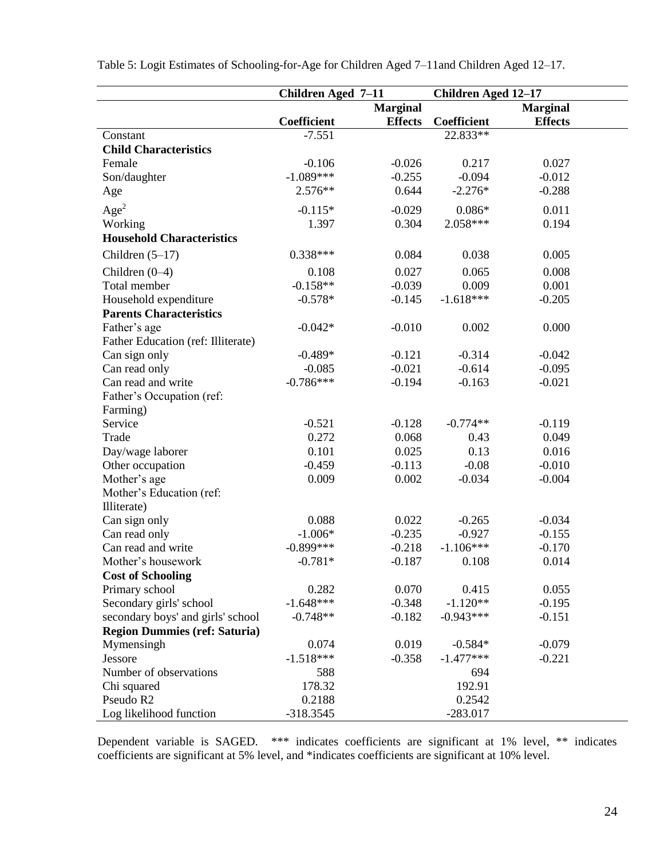|                                      | <b>Children Aged 7-11</b> |                | <b>Children Aged 12-17</b> |                 |  |
|--------------------------------------|---------------------------|----------------|----------------------------|-----------------|--|
|                                      | <b>Marginal</b>           |                |                            | <b>Marginal</b> |  |
|                                      | Coefficient               | <b>Effects</b> | <b>Coefficient</b>         | <b>Effects</b>  |  |
| Constant                             | $-7.551$                  |                | 22.833**                   |                 |  |
| <b>Child Characteristics</b>         |                           |                |                            |                 |  |
| Female                               | $-0.106$                  | $-0.026$       | 0.217                      | 0.027           |  |
| Son/daughter                         | $-1.089***$               | $-0.255$       | $-0.094$                   | $-0.012$        |  |
| Age                                  | 2.576**                   | 0.644          | $-2.276*$                  | $-0.288$        |  |
| Age <sup>2</sup>                     | $-0.115*$                 | $-0.029$       | $0.086*$                   | 0.011           |  |
| Working                              | 1.397                     | 0.304          | 2.058***                   | 0.194           |  |
| <b>Household Characteristics</b>     |                           |                |                            |                 |  |
| Children $(5-17)$                    | $0.338***$                | 0.084          | 0.038                      | 0.005           |  |
| Children $(0-4)$                     | 0.108                     | 0.027          | 0.065                      | 0.008           |  |
| Total member                         | $-0.158**$                | $-0.039$       | 0.009                      | 0.001           |  |
| Household expenditure                | $-0.578*$                 | $-0.145$       | $-1.618***$                | $-0.205$        |  |
| <b>Parents Characteristics</b>       |                           |                |                            |                 |  |
| Father's age                         | $-0.042*$                 | $-0.010$       | 0.002                      | 0.000           |  |
| Father Education (ref: Illiterate)   |                           |                |                            |                 |  |
| Can sign only                        | $-0.489*$                 | $-0.121$       | $-0.314$                   | $-0.042$        |  |
| Can read only                        | $-0.085$                  | $-0.021$       | $-0.614$                   | $-0.095$        |  |
| Can read and write                   | $-0.786***$               | $-0.194$       | $-0.163$                   | $-0.021$        |  |
| Father's Occupation (ref:            |                           |                |                            |                 |  |
| Farming)                             |                           |                |                            |                 |  |
| Service                              | $-0.521$                  | $-0.128$       | $-0.774**$                 | $-0.119$        |  |
| Trade                                | 0.272                     | 0.068          | 0.43                       | 0.049           |  |
| Day/wage laborer                     | 0.101                     | 0.025          | 0.13                       | 0.016           |  |
| Other occupation                     | $-0.459$                  | $-0.113$       | $-0.08$                    | $-0.010$        |  |
| Mother's age                         | 0.009                     | 0.002          | $-0.034$                   | $-0.004$        |  |
| Mother's Education (ref:             |                           |                |                            |                 |  |
| Illiterate)                          |                           |                |                            |                 |  |
| Can sign only                        | 0.088                     | 0.022          | $-0.265$                   | $-0.034$        |  |
| Can read only                        | $-1.006*$                 | $-0.235$       | $-0.927$                   | $-0.155$        |  |
| Can read and write                   | $-0.899***$               | $-0.218$       | $-1.106***$                | $-0.170$        |  |
| Mother's housework                   | $-0.781*$                 | $-0.187$       | 0.108                      | 0.014           |  |
| <b>Cost of Schooling</b>             |                           |                |                            |                 |  |
| Primary school                       | 0.282                     | 0.070          | 0.415                      | 0.055           |  |
| Secondary girls' school              | $-1.648***$               | $-0.348$       | $-1.120**$                 | $-0.195$        |  |
| secondary boys' and girls' school    | $-0.748**$                | $-0.182$       | $-0.943***$                | $-0.151$        |  |
| <b>Region Dummies (ref: Saturia)</b> |                           |                |                            |                 |  |
| Mymensingh                           | 0.074                     | 0.019          | $-0.584*$                  | $-0.079$        |  |
| Jessore                              | $-1.518***$               | $-0.358$       | $-1.477***$                | $-0.221$        |  |
| Number of observations               | 588                       |                | 694                        |                 |  |
| Chi squared                          | 178.32                    |                | 192.91                     |                 |  |
| Pseudo R2                            | 0.2188                    |                | 0.2542                     |                 |  |
| Log likelihood function              | $-318.3545$               |                | $-283.017$                 |                 |  |

Table 5: Logit Estimates of Schooling-for-Age for Children Aged 7–11and Children Aged 12–17.

Dependent variable is SAGED. \*\*\* indicates coefficients are significant at 1% level, \*\* indicates coefficients are significant at 5% level, and \*indicates coefficients are significant at 10% level.